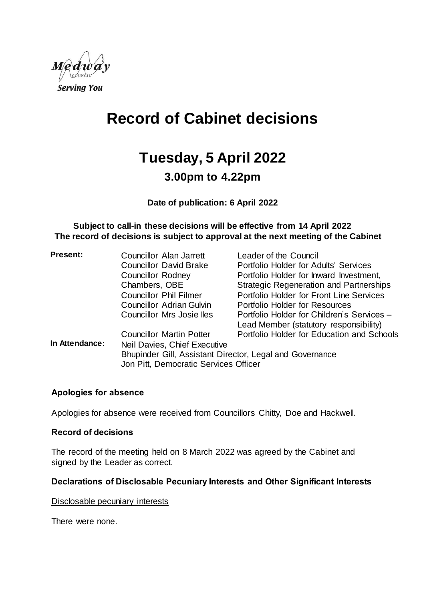

# **Record of Cabinet decisions**

# **Tuesday, 5 April 2022**

## **3.00pm to 4.22pm**

**Date of publication: 6 April 2022**

**Subject to call-in these decisions will be effective from 14 April 2022 The record of decisions is subject to approval at the next meeting of the Cabinet**

| <b>Present:</b> | Councillor Alan Jarrett                                  | Leader of the Council                          |  |
|-----------------|----------------------------------------------------------|------------------------------------------------|--|
|                 | <b>Councillor David Brake</b>                            | Portfolio Holder for Adults' Services          |  |
|                 | <b>Councillor Rodney</b>                                 | Portfolio Holder for Inward Investment,        |  |
|                 | Chambers, OBE                                            | <b>Strategic Regeneration and Partnerships</b> |  |
|                 | <b>Councillor Phil Filmer</b>                            | Portfolio Holder for Front Line Services       |  |
|                 | Councillor Adrian Gulvin                                 | Portfolio Holder for Resources                 |  |
|                 | Councillor Mrs Josie lles                                | Portfolio Holder for Children's Services -     |  |
|                 |                                                          | Lead Member (statutory responsibility)         |  |
|                 | <b>Councillor Martin Potter</b>                          | Portfolio Holder for Education and Schools     |  |
| In Attendance:  | Neil Davies, Chief Executive                             |                                                |  |
|                 | Bhupinder Gill, Assistant Director, Legal and Governance |                                                |  |
|                 | Jon Pitt, Democratic Services Officer                    |                                                |  |

#### **Apologies for absence**

Apologies for absence were received from Councillors Chitty, Doe and Hackwell.

#### **Record of decisions**

The record of the meeting held on 8 March 2022 was agreed by the Cabinet and signed by the Leader as correct.

#### **Declarations of Disclosable Pecuniary Interests and Other Significant Interests**

Disclosable pecuniary interests

There were none.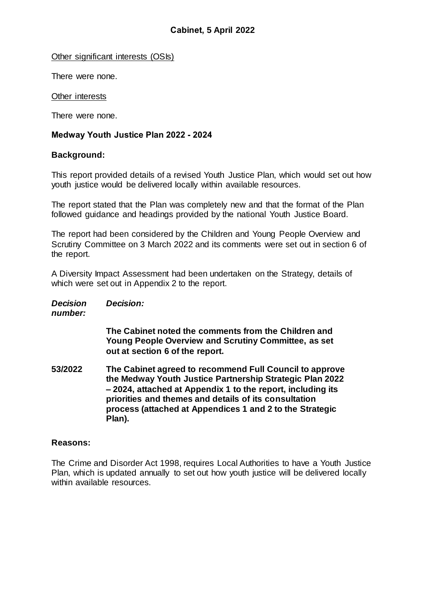Other significant interests (OSIs)

There were none.

Other interests

There were none.

#### **Medway Youth Justice Plan 2022 - 2024**

#### **Background:**

This report provided details of a revised Youth Justice Plan, which would set out how youth justice would be delivered locally within available resources.

The report stated that the Plan was completely new and that the format of the Plan followed guidance and headings provided by the national Youth Justice Board.

The report had been considered by the Children and Young People Overview and Scrutiny Committee on 3 March 2022 and its comments were set out in section 6 of the report.

A Diversity Impact Assessment had been undertaken on the Strategy, details of which were set out in Appendix 2 to the report.

| <b>Decision</b> | <b>Decision:</b> |
|-----------------|------------------|
| number:         |                  |

**The Cabinet noted the comments from the Children and Young People Overview and Scrutiny Committee, as set out at section 6 of the report.**

**53/2022 The Cabinet agreed to recommend Full Council to approve the Medway Youth Justice Partnership Strategic Plan 2022 – 2024, attached at Appendix 1 to the report, including its priorities and themes and details of its consultation process (attached at Appendices 1 and 2 to the Strategic Plan).**

#### **Reasons:**

The Crime and Disorder Act 1998, requires Local Authorities to have a Youth Justice Plan, which is updated annually to set out how youth justice will be delivered locally within available resources.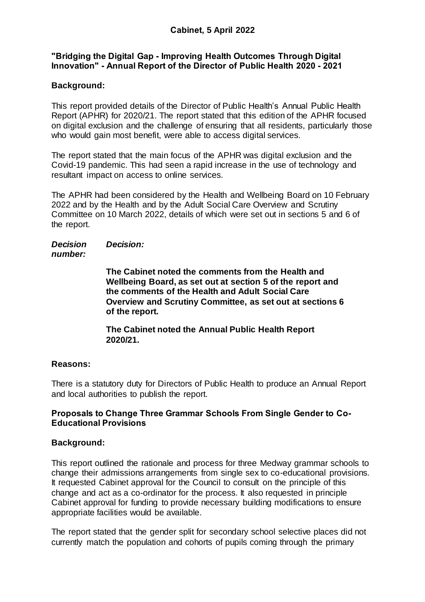#### **"Bridging the Digital Gap - Improving Health Outcomes Through Digital Innovation" - Annual Report of the Director of Public Health 2020 - 2021**

#### **Background:**

This report provided details of the Director of Public Health's Annual Public Health Report (APHR) for 2020/21. The report stated that this edition of the APHR focused on digital exclusion and the challenge of ensuring that all residents, particularly those who would gain most benefit, were able to access digital services.

The report stated that the main focus of the APHR was digital exclusion and the Covid-19 pandemic. This had seen a rapid increase in the use of technology and resultant impact on access to online services.

The APHR had been considered by the Health and Wellbeing Board on 10 February 2022 and by the Health and by the Adult Social Care Overview and Scrutiny Committee on 10 March 2022, details of which were set out in sections 5 and 6 of the report.

#### *Decision number: Decision:*

**The Cabinet noted the comments from the Health and Wellbeing Board, as set out at section 5 of the report and the comments of the Health and Adult Social Care Overview and Scrutiny Committee, as set out at sections 6 of the report.**

**The Cabinet noted the Annual Public Health Report 2020/21.**

#### **Reasons:**

There is a statutory duty for Directors of Public Health to produce an Annual Report and local authorities to publish the report.

#### **Proposals to Change Three Grammar Schools From Single Gender to Co-Educational Provisions**

#### **Background:**

This report outlined the rationale and process for three Medway grammar schools to change their admissions arrangements from single sex to co-educational provisions. It requested Cabinet approval for the Council to consult on the principle of this change and act as a co-ordinator for the process. It also requested in principle Cabinet approval for funding to provide necessary building modifications to ensure appropriate facilities would be available.

The report stated that the gender split for secondary school selective places did not currently match the population and cohorts of pupils coming through the primary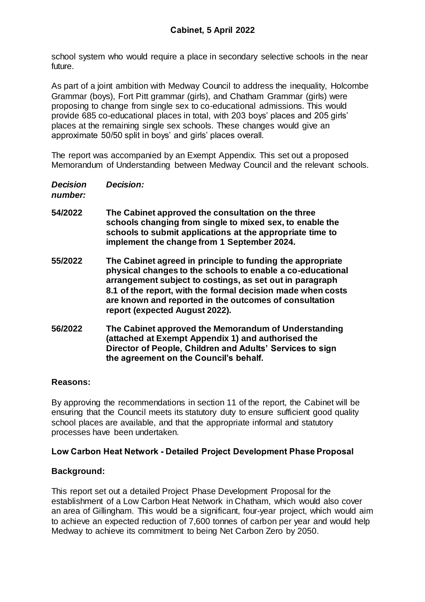school system who would require a place in secondary selective schools in the near future.

As part of a joint ambition with Medway Council to address the inequality, Holcombe Grammar (boys), Fort Pitt grammar (girls), and Chatham Grammar (girls) were proposing to change from single sex to co-educational admissions. This would provide 685 co-educational places in total, with 203 boys' places and 205 girls' places at the remaining single sex schools. These changes would give an approximate 50/50 split in boys' and girls' places overall.

The report was accompanied by an Exempt Appendix. This set out a proposed Memorandum of Understanding between Medway Council and the relevant schools.

| <b>Decision:</b> |
|------------------|
|                  |

*number:*

- **54/2022 The Cabinet approved the consultation on the three schools changing from single to mixed sex, to enable the schools to submit applications at the appropriate time to implement the change from 1 September 2024.**
- **55/2022 The Cabinet agreed in principle to funding the appropriate physical changes to the schools to enable a co-educational arrangement subject to costings, as set out in paragraph 8.1 of the report, with the formal decision made when costs are known and reported in the outcomes of consultation report (expected August 2022).**
- **56/2022 The Cabinet approved the Memorandum of Understanding (attached at Exempt Appendix 1) and authorised the Director of People, Children and Adults' Services to sign the agreement on the Council's behalf.**

### **Reasons:**

By approving the recommendations in section 11 of the report, the Cabinet will be ensuring that the Council meets its statutory duty to ensure sufficient good quality school places are available, and that the appropriate informal and statutory processes have been undertaken.

### **Low Carbon Heat Network - Detailed Project Development Phase Proposal**

### **Background:**

This report set out a detailed Project Phase Development Proposal for the establishment of a Low Carbon Heat Network in Chatham, which would also cover an area of Gillingham. This would be a significant, four-year project, which would aim to achieve an expected reduction of 7,600 tonnes of carbon per year and would help Medway to achieve its commitment to being Net Carbon Zero by 2050.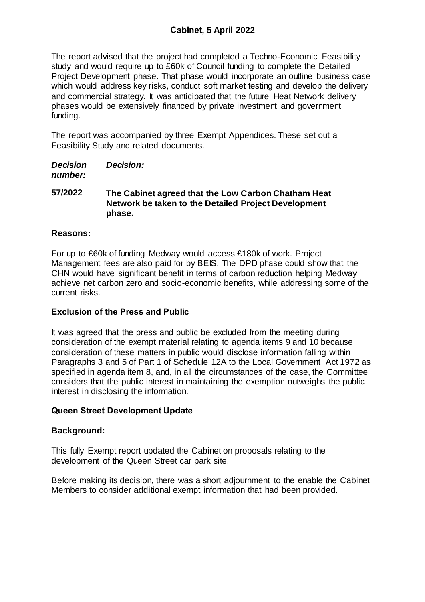The report advised that the project had completed a Techno-Economic Feasibility study and would require up to £60k of Council funding to complete the Detailed Project Development phase. That phase would incorporate an outline business case which would address key risks, conduct soft market testing and develop the delivery and commercial strategy. It was anticipated that the future Heat Network delivery phases would be extensively financed by private investment and government funding.

The report was accompanied by three Exempt Appendices. These set out a Feasibility Study and related documents.

*Decision number: Decision:*

**57/2022 The Cabinet agreed that the Low Carbon Chatham Heat Network be taken to the Detailed Project Development phase.**

#### **Reasons:**

For up to £60k of funding Medway would access £180k of work. Project Management fees are also paid for by BEIS. The DPD phase could show that the CHN would have significant benefit in terms of carbon reduction helping Medway achieve net carbon zero and socio-economic benefits, while addressing some of the current risks.

### **Exclusion of the Press and Public**

It was agreed that the press and public be excluded from the meeting during consideration of the exempt material relating to agenda items 9 and 10 because consideration of these matters in public would disclose information falling within Paragraphs 3 and 5 of Part 1 of Schedule 12A to the Local Government Act 1972 as specified in agenda item 8, and, in all the circumstances of the case, the Committee considers that the public interest in maintaining the exemption outweighs the public interest in disclosing the information.

### **Queen Street Development Update**

#### **Background:**

This fully Exempt report updated the Cabinet on proposals relating to the development of the Queen Street car park site.

Before making its decision, there was a short adjournment to the enable the Cabinet Members to consider additional exempt information that had been provided.